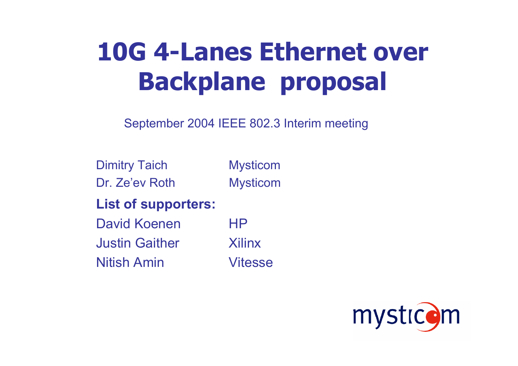# **10G 4-Lanes Ethernet over Backplane proposal**

September 2004 IEEE 802.3 Interim meeting

Dimitry Taich Mysticom

Dr. Ze'ev Roth Mysticom

**List of supporters:**

David Koenen HP

Justin Gaither XilinxNitish Amin Vitesse

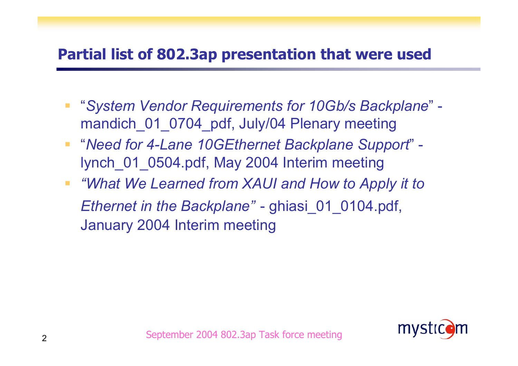#### **Partial list of 802.3ap presentation that were used**

- "*System Vendor Requirements for 10Gb/s Backplane*" mandich 01 0704 pdf, July/04 Plenary meeting
- "*Need for 4-Lane 10GEthernet Backplane Support*" lynch\_01\_0504.pdf, May 2004 Interim meeting
- *"What We Learned from XAUI and How to Apply it to Ethernet in the Backplane"* - ghiasi\_01\_0104.pdf, January 2004 Interim meeting

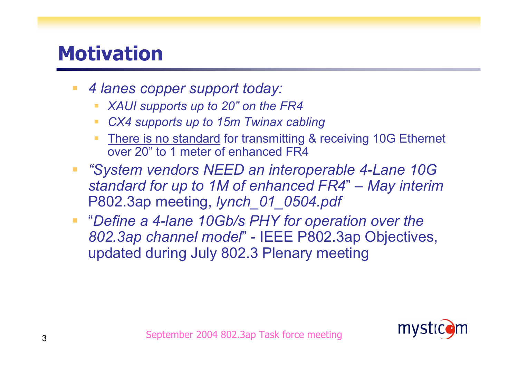### **Motivation**

- *4 lanes copper support today:*
	- *XAUI supports up to 20" on the FR4*
	- *CX4 supports up to 15m Twinax cabling*
	- **There is no standard for transmitting & receiving 10G Ethernet** over 20" to 1 meter of enhanced FR4
- *"System vendors NEED an interoperable 4-Lane 10G standard for up to 1M of enhanced FR4* " *– May interim*  P802.3ap meeting, *lynch\_01\_0504.pdf*
- "*Define a 4-lane 10Gb/s PHY for operation over the 802.3ap channel model*" - IEEE P802.3ap Objectives, updated during July 802.3 Plenary meeting

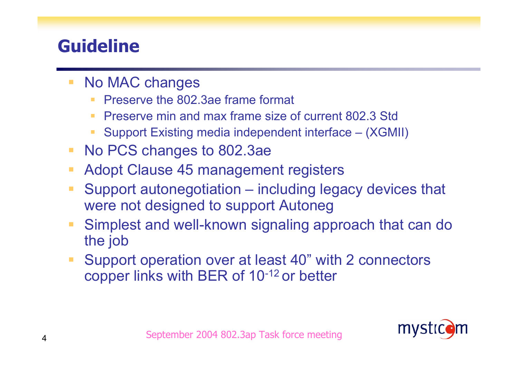### **Guideline**

- No MAC changes
	- Preserve the 802.3ae frame format
	- $\mathcal{L}_{\mathcal{A}}$ Preserve min and max frame size of current 802.3 Std
	- Support Existing media independent interface (XGMII)
- No PCS changes to 802.3ae
- $\mathcal{L}_{\mathcal{A}}$ Adopt Clause 45 management registers
- $\mathcal{L}_{\mathcal{A}}$  Support autonegotiation – including legacy devices that were not designed to support Autoneg
- $\mathcal{L}_{\mathcal{A}}$  Simplest and well-known signaling approach that can do the job
- $\mathbb{R}^n$  Support operation over at least 40" with 2 connectors copper links with BER of 10-12 or better

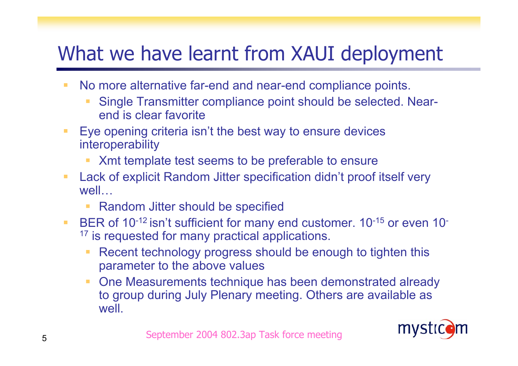## What we have learnt from XAUI deployment

- m. No more alternative far-end and near-end compliance points.
	- Single Transmitter compliance point should be selected. Nearend is clear favorite
- $\blacksquare$  Eye opening criteria isn't the best way to ensure devices interoperability
	- Xmt template test seems to be preferable to ensure
- $\mathcal{L}_{\mathcal{A}}$  Lack of explicit Random Jitter specification didn't proof itself very well…
	- Random Jitter should be specified
- $\overline{\phantom{a}}$ BER of 10<sup>-12</sup> isn't sufficient for many end customer. 10<sup>-15</sup> or even 10<sup>-16</sup>  $17$  is requested for many practical applications.
	- n. Recent technology progress should be enough to tighten this parameter to the above values
	- **One Measurements technique has been demonstrated already** to group during July Plenary meeting. Others are available as well.

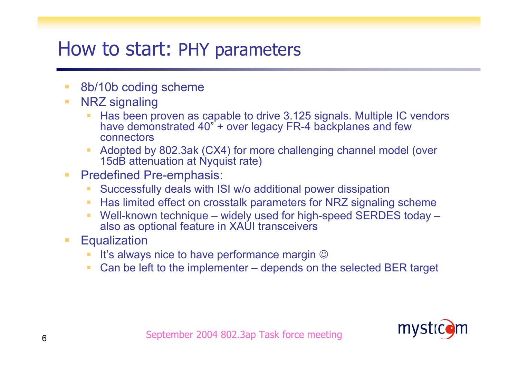### How to start: PHY parameters

- п 8b/10b coding scheme
- п NRZ signaling
	- Has been proven as capable to drive 3.125 signals. Multiple IC vendors have demonstrated 40" + over legacy FR-4 backplanes and few connectors
	- Adopted by 802.3ak (CX4) for more challenging channel model (over 15dB attenuation at Nyquist rate)
- $\mathcal{L}_{\mathcal{A}}$  Predefined Pre-emphasis:
	- Successfully deals with ISI w/o additional power dissipation
	- $\mathcal{L}_{\mathcal{A}}$ Has limited effect on crosstalk parameters for NRZ signaling scheme
	- × Well-known technique – widely used for high-speed SERDES today – also as optional feature in XAUI transceivers
- $\mathcal{L}_{\mathcal{A}}$ **Equalization** 
	- It's always nice to have performance margin  $\odot$
	- Can be left to the implementer depends on the selected BER target

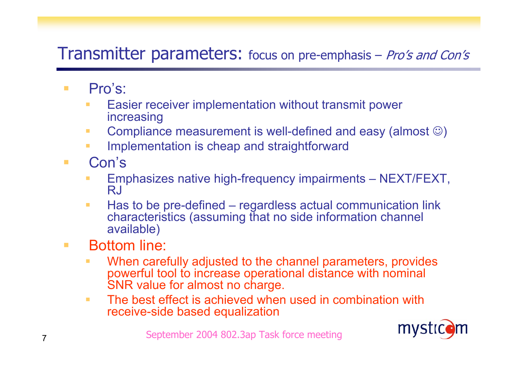#### Transmitter parameters: focus on pre-emphasis – Pro's and Con's

- Pro's:
	- Easier receiver implementation without transmit power increasing
	- Compliance measurement is well-defined and easy (almost  $\circledcirc$ )
	- Implementation is cheap and straightforward
- Con's
	- Emphasizes native high-frequency impairments NEXT/FEXT, RJ
	- $\Box$  Has to be pre-defined – regardless actual communication link characteristics (assuming that no side information channel available)
- Bottom line:
	- When carefully adjusted to the channel parameters, provides powerful tool to increase operational distance with nominal SNR value for almost no charge.
	- $\mathbb{R}^n$  The best effect is achieved when used in combination with receive-side based equalization

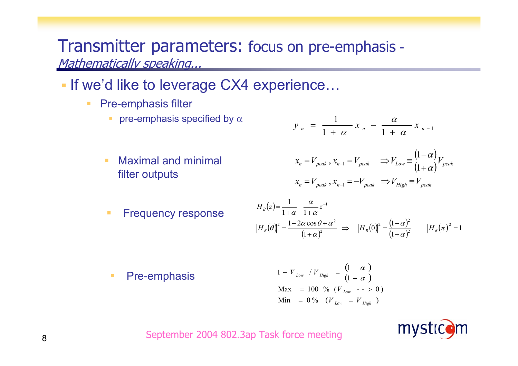#### Transmitter parameters: focus on pre-emphasis - Mathematically speaking...

- **If we'd like to leverage CX4 experience...** 
	- Pre-emphasis filter
		- **•** pre-emphasis specified by  $\alpha$
		- п Maximal and minimal filter outputs

$$
y_n = \frac{1}{1 + \alpha} x_n - \frac{\alpha}{1 + \alpha} x_{n-1}
$$

$$
x_n = V_{peak}, x_{n-1} = V_{peak} \implies V_{Low} = \frac{(1-\alpha)}{(1+\alpha)}V_{peak}
$$
  

$$
x_n = V_{peak}, x_{n-1} = -V_{peak} \implies V_{High} = V_{peak}
$$

L. Frequency response

$$
H_B(z) = \frac{1}{1+\alpha} - \frac{\alpha}{1+\alpha} z^{-1}
$$
  

$$
|H_B(\theta)|^2 = \frac{1-2\alpha \cos \theta + \alpha^2}{(1+\alpha)^2} \implies |H_B(0)|^2 = \frac{(1-\alpha)^2}{(1+\alpha)^2} \qquad |H_B(\pi)|^2 = 1
$$

 $\mathcal{L}_{\mathcal{A}}$ Pre-emphasis

$$
1 - V_{Low} / V_{High} = \frac{(1 - \alpha)}{(1 + \alpha)}
$$
  
Max = 100 % (V\_{Low} -- > 0)  
Min = 0 % (V\_{Low} = V\_{High})

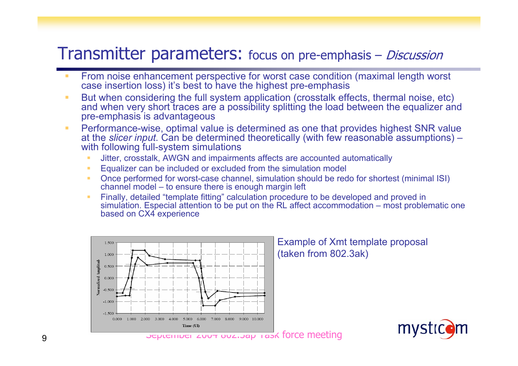#### Transmitter parameters: focus on pre-emphasis – Discussion

- **From noise enhancement perspective for worst case condition (maximal length worst** case insertion loss) it's best to have the highest pre-emphasis
- $\mathcal{L}_{\mathcal{A}}$ ■ But when considering the full system application (crosstalk effects, thermal noise, etc) and when very short traces are a possibility splitting the load between the equalizer and pre-emphasis is advantageous
- $\mathcal{L}_{\mathcal{A}}$  Performance-wise, optimal value is determined as one that provides highest SNR value at the *slicer input.* Can be determined theoretically (with few reasonable assumptions) – with following full-system simulations
	- Jitter, crosstalk, AWGN and impairments affects are accounted automatically
	- Equalizer can be included or excluded from the simulation model
	- $\blacksquare$  Once performed for worst-case channel, simulation should be redo for shortest (minimal ISI) channel model – to ensure there is enough margin left
	- **Finally, detailed "template fitting" calculation procedure to be developed and proved in** simulation. Especial attention to be put on the RL affect accommodation – most problematic one based on CX4 experience

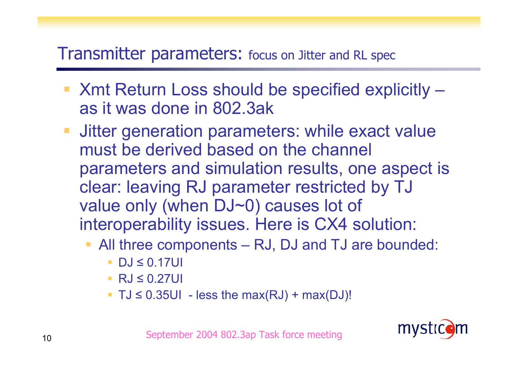#### Transmitter parameters: focus on Jitter and RL spec

- Xmt Return Loss should be specified explicitly as it was done in 802.3ak
- **Jitter generation parameters: while exact value** must be derived based on the channel parameters and simulation results, one aspect is clear: leaving RJ parameter restricted by TJ value only (when DJ~0) causes lot of interoperability issues. Here is CX4 solution:
	- All three components RJ, DJ and TJ are bounded:
		- T. ■ DJ ≤ 0.17UI
		- RJ ≤ 0.27UI
		- $\blacksquare$  TJ  $\leq$  0.35UI less the max(RJ) + max(DJ)!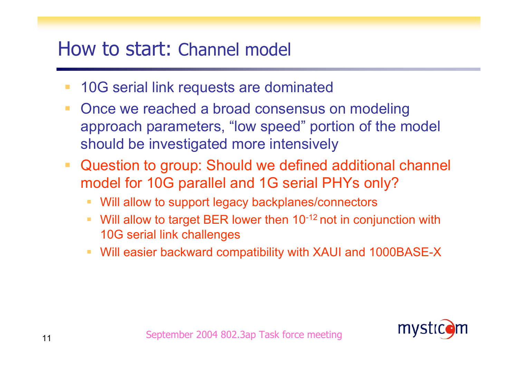### How to start: Channel model

- 10G serial link requests are dominated
- Once we reached a broad consensus on modeling approach parameters, "low speed" portion of the model should be investigated more intensively
- Question to group: Should we defined additional channel model for 10G parallel and 1G serial PHYs only?
	- Will allow to support legacy backplanes/connectors
	- $\mathcal{L}_{\mathcal{A}}$ Will allow to target BER lower then 10<sup>-12</sup> not in conjunction with 10G serial link challenges
	- Will easier backward compatibility with XAUI and 1000BASE-X

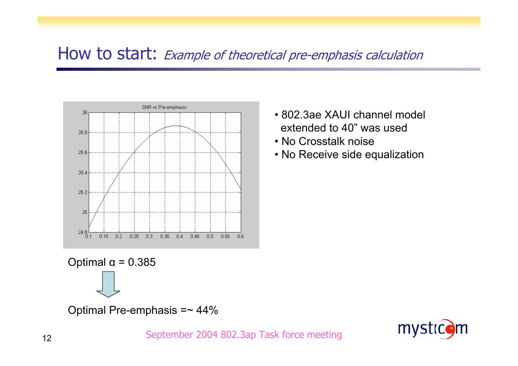#### How to start: Example of theoretical pre-emphasis calculation



- 802.3ae XAUI channel model extended to 40" was used
- No Crosstalk noise
- No Receive side equalization

Optimal α = 0.385

Optimal Pre-emphasis =~ 44%

mystic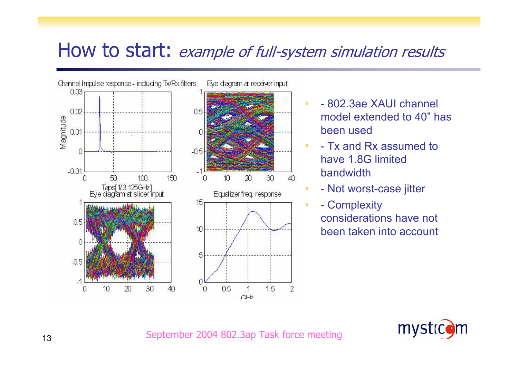### How to start: *example of full-system simulation results*



- 802.3ae XAUI channel model extended to 40" has been used
- Tx and Rx assumed to have 1.8G limited bandwidth
- Not worst-case jitter
- Complexity considerations have not been taken into account

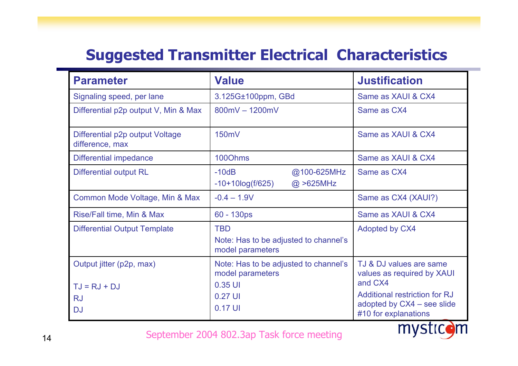#### **Suggested Transmitter Electrical Characteristics**

| <b>Parameter</b>                                                     | <b>Value</b>                                                                               | <b>Justification</b>                                                                                                                                    |
|----------------------------------------------------------------------|--------------------------------------------------------------------------------------------|---------------------------------------------------------------------------------------------------------------------------------------------------------|
| Signaling speed, per lane                                            | 3.125G±100ppm, GBd                                                                         | Same as XAUI & CX4                                                                                                                                      |
| Differential p2p output V, Min & Max                                 | $800mV - 1200mV$                                                                           | Same as CX4                                                                                                                                             |
| Differential p2p output Voltage<br>difference, max                   | 150mV                                                                                      | Same as XAUI & CX4                                                                                                                                      |
| Differential impedance                                               | 1000hms                                                                                    | Same as XAUI & CX4                                                                                                                                      |
| <b>Differential output RL</b>                                        | $-10dB$<br>@100-625MHz<br>$-10+10log(f/625)$<br>$@$ >625MHz                                | Same as CX4                                                                                                                                             |
| Common Mode Voltage, Min & Max                                       | $-0.4 - 1.9V$                                                                              | Same as CX4 (XAUI?)                                                                                                                                     |
| Rise/Fall time, Min & Max                                            | 60 - 130ps                                                                                 | Same as XAUI & CX4                                                                                                                                      |
| <b>Differential Output Template</b>                                  | <b>TBD</b><br>Note: Has to be adjusted to channel's<br>model parameters                    | Adopted by CX4                                                                                                                                          |
| Output jitter (p2p, max)<br>$TJ = RJ + DJ$<br><b>RJ</b><br><b>DJ</b> | Note: Has to be adjusted to channel's<br>model parameters<br>0.35 UI<br>0.27 UI<br>0.17 UI | TJ & DJ values are same<br>values as required by XAUI<br>and CX4<br>Additional restriction for RJ<br>adopted by CX4 - see slide<br>#10 for explanations |
|                                                                      | Sentember 2004 802.3an Task force meeting                                                  |                                                                                                                                                         |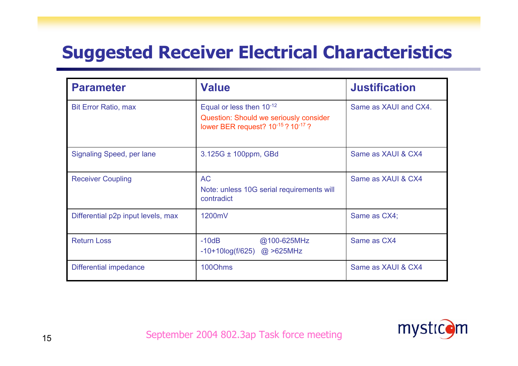### **Suggested Receiver Electrical Characteristics**

| <b>Parameter</b>                   | <b>Value</b>                                                                                                         | <b>Justification</b>  |
|------------------------------------|----------------------------------------------------------------------------------------------------------------------|-----------------------|
| <b>Bit Error Ratio, max</b>        | Equal or less then $10^{-12}$<br><b>Question: Should we seriously consider</b><br>lower BER request? 10-15 ? 10-17 ? | Same as XAUI and CX4. |
| Signaling Speed, per lane          | $3.125G \pm 100$ ppm, GBd                                                                                            | Same as XAUI & CX4    |
| <b>Receiver Coupling</b>           | <b>AC</b><br>Note: unless 10G serial requirements will<br>contradict                                                 | Same as XAUI & CX4    |
| Differential p2p input levels, max | 1200mV                                                                                                               | Same as CX4;          |
| <b>Return Loss</b>                 | $-10dB$<br>@100-625MHz<br>$-10+10\log(f/625)$ @ >625MHz                                                              | Same as CX4           |
| Differential impedance             | 1000hms                                                                                                              | Same as XAUI & CX4    |

mysticom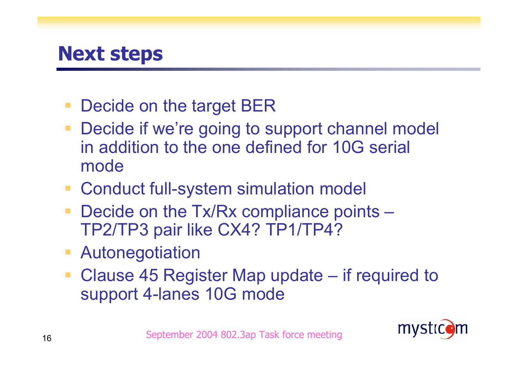

- Decide on the target BER
- Decide if we're going to support channel model in addition to the one defined for 10G serial mode
- Conduct full-system simulation model
- Decide on the Tx/Rx compliance points TP2/TP3 pair like CX4? TP1/TP4?
- Autonegotiation
- Clause 45 Register Map update if required to support 4-lanes 10G mode